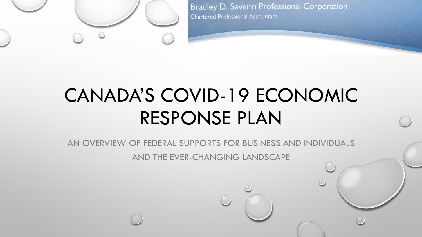

**Bradley D. Severin Professional Corporation Chartered Professional Accountant** 

# CANADA'S COVID-19 ECONOMIC RESPONSE PLAN

AN OVERVIEW OF FEDERAL SUPPORTS FOR BUSINESS AND INDIVIDUALS

AND THE EVER-CHANGING LANDSCAPE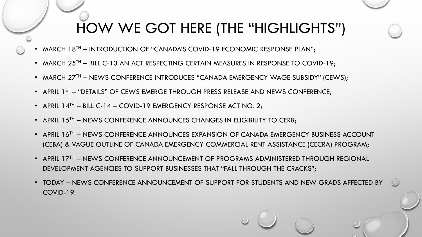#### HOW WE GOT HERE (THE "HIGHLIGHTS")

- MARCH  $18<sup>TH</sup>$  INTRODUCTION OF "CANADA'S COVID-19 ECONOMIC RESPONSE PLAN";
- MARCH  $25^{TH}$  BILL C-13 AN ACT RESPECTING CERTAIN MEASURES IN RESPONSE TO COVID-19;
- MARCH 27<sup>TH</sup> NEWS CONFERENCE INTRODUCES "CANADA EMERGENCY WAGE SUBSIDY" (CEWS);
- APRIL 1<sup>ST</sup> "DETAILS" OF CEWS EMERGE THROUGH PRESS RELEASE AND NEWS CONFERENCE;
- APRIL  $14^{TH}$  BILL C-14 COVID-19 EMERGENCY RESPONSE ACT NO. 2;
- APRIL  $15<sup>TH</sup>$  NEWS CONFERENCE ANNOUNCES CHANGES IN ELIGIBILITY TO CERB;
- APRIL 16TH NEWS CONFERENCE ANNOUNCES EXPANSION OF CANADA EMERGENCY BUSINESS ACCOUNT (CEBA) & VAGUE OUTLINE OF CANADA EMERGENCY COMMERCIAL RENT ASSISTANCE (CECRA) PROGRAM;
- APRIL 17<sup>TH</sup> NEWS CONFERENCE ANNOUNCEMENT OF PROGRAMS ADMINISTERED THROUGH REGIONAL DEVELOPMENT AGENCIES TO SUPPORT BUSINESSES THAT "FALL THROUGH THE CRACKS";
- TODAY NEWS CONFERENCE ANNOUNCEMENT OF SUPPORT FOR STUDENTS AND NEW GRADS AFFECTED BY COVID-19.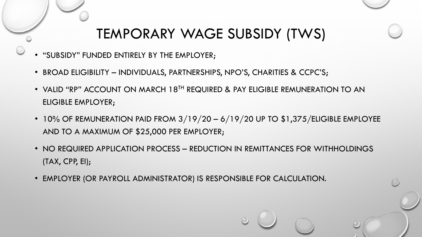#### TEMPORARY WAGE SUBSIDY (TWS)

- "SUBSIDY" FUNDED ENTIRELY BY THE EMPLOYER;
- BROAD ELIGIBILITY INDIVIDUALS, PARTNERSHIPS, NPO'S, CHARITIES & CCPC'S;
- VALID "RP" ACCOUNT ON MARCH 18<sup>th</sup> REQUIRED & PAY ELIGIBLE REMUNERATION TO AN ELIGIBLE EMPLOYER;
- 10% OF REMUNERATION PAID FROM  $3/19/20-6/19/20$  UP TO \$1,375/ELIGIBLE EMPLOYEE AND TO A MAXIMUM OF \$25,000 PER EMPLOYER;
- NO REQUIRED APPLICATION PROCESS REDUCTION IN REMITTANCES FOR WITHHOLDINGS (TAX, CPP, EI);
- EMPLOYER (OR PAYROLL ADMINISTRATOR) IS RESPONSIBLE FOR CALCULATION.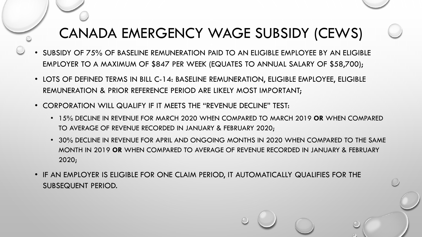## CANADA EMERGENCY WAGE SUBSIDY (CEWS)

- SUBSIDY OF 75% OF BASELINE REMUNERATION PAID TO AN ELIGIBLE EMPLOYEE BY AN ELIGIBLE EMPLOYER TO A MAXIMUM OF \$847 PER WEEK (EQUATES TO ANNUAL SALARY OF \$58,700);
- LOTS OF DEFINED TERMS IN BILL C-14: BASELINE REMUNERATION, ELIGIBLE EMPLOYEE, ELIGIBLE REMUNERATION & PRIOR REFERENCE PERIOD ARE LIKELY MOST IMPORTANT;
- CORPORATION WILL QUALIFY IF IT MEETS THE "REVENUE DECLINE" TEST:
	- 15% DECLINE IN REVENUE FOR MARCH 2020 WHEN COMPARED TO MARCH 2019 **OR** WHEN COMPARED TO AVERAGE OF REVENUE RECORDED IN JANUARY & FEBRUARY 2020;
	- 30% DECLINE IN REVENUE FOR APRIL AND ONGOING MONTHS IN 2020 WHEN COMPARED TO THE SAME MONTH IN 2019 **OR** WHEN COMPARED TO AVERAGE OF REVENUE RECORDED IN JANUARY & FEBRUARY 2020;
- IF AN EMPLOYER IS ELIGIBLE FOR ONE CLAIM PERIOD, IT AUTOMATICALLY QUALIFIES FOR THE SUBSEQUENT PERIOD.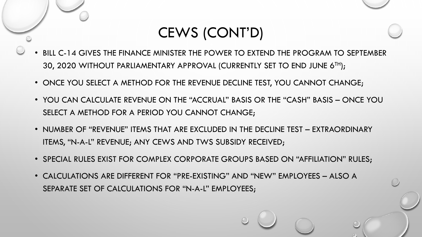## CEWS (CONT'D)

- BILL C-14 GIVES THE FINANCE MINISTER THE POWER TO EXTEND THE PROGRAM TO SEPTEMBER 30, 2020 WITHOUT PARLIAMENTARY APPROVAL (CURRENTLY SET TO END JUNE 6TH);
- ONCE YOU SELECT A METHOD FOR THE REVENUE DECLINE TEST, YOU CANNOT CHANGE;
- YOU CAN CALCULATE REVENUE ON THE "ACCRUAL" BASIS OR THE "CASH" BASIS ONCE YOU SELECT A METHOD FOR A PERIOD YOU CANNOT CHANGE;
- NUMBER OF "REVENUE" ITEMS THAT ARE EXCLUDED IN THE DECLINE TEST EXTRAORDINARY ITEMS, "N-A-L" REVENUE; ANY CEWS AND TWS SUBSIDY RECEIVED;
- SPECIAL RULES EXIST FOR COMPLEX CORPORATE GROUPS BASED ON "AFFILIATION" RULES;
- CALCULATIONS ARE DIFFERENT FOR "PRE-EXISTING" AND "NEW" EMPLOYEES ALSO A SEPARATE SET OF CALCULATIONS FOR "N-A-L" EMPLOYEES;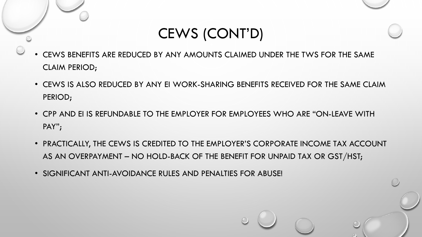CEWS (CONT'D)

- CEWS BENEFITS ARE REDUCED BY ANY AMOUNTS CLAIMED UNDER THE TWS FOR THE SAME CLAIM PERIOD;
- CEWS IS ALSO REDUCED BY ANY EI WORK-SHARING BENEFITS RECEIVED FOR THE SAME CLAIM PERIOD;
- CPP AND EI IS REFUNDABLE TO THE EMPLOYER FOR EMPLOYEES WHO ARE "ON-LEAVE WITH PAY";
- PRACTICALLY, THE CEWS IS CREDITED TO THE EMPLOYER'S CORPORATE INCOME TAX ACCOUNT AS AN OVERPAYMENT – NO HOLD-BACK OF THE BENEFIT FOR UNPAID TAX OR GST/HST;
- SIGNIFICANT ANTI-AVOIDANCE RULES AND PENALTIES FOR ABUSE!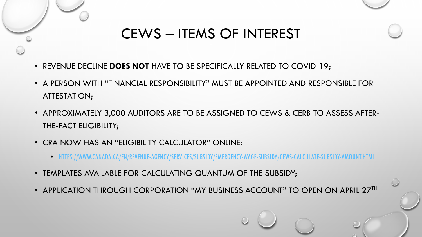

# CEWS – ITEMS OF INTEREST

- REVENUE DECLINE **DOES NOT** HAVE TO BE SPECIFICALLY RELATED TO COVID-19;
- A PERSON WITH "FINANCIAL RESPONSIBILITY" MUST BE APPOINTED AND RESPONSIBLE FOR ATTESTATION;
- APPROXIMATELY 3,000 AUDITORS ARE TO BE ASSIGNED TO CEWS & CERB TO ASSESS AFTER-THE-FACT ELIGIBILITY;
- CRA NOW HAS AN "ELIGIBILITY CALCULATOR" ONLINE:
	- [HTTPS://WWW.CANADA.CA/EN/REVENUE-AGENCY/SERVICES/SUBSIDY/EMERGENCY-WAGE-SUBSIDY/CEWS-CALCULATE-SUBSIDY-AMOUNT.HTML](https://www.canada.ca/en/revenue-agency/services/subsidy/emergency-wage-subsidy/cews-calculate-subsidy-amount.html)
- TEMPLATES AVAILABLE FOR CALCULATING QUANTUM OF THE SUBSIDY;
- APPLICATION THROUGH CORPORATION "MY BUSINESS ACCOUNT" TO OPEN ON APRIL 27TH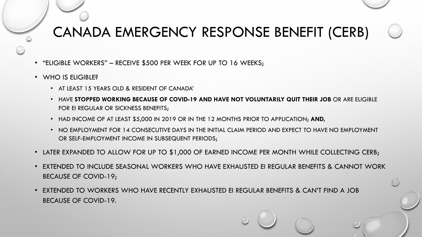# CANADA EMERGENCY RESPONSE BENEFIT (CERB)

- "ELIGIBLE WORKERS" RECEIVE \$500 PER WEEK FOR UP TO 16 WEEKS;
- WHO IS ELIGIBLE?
	- AT LEAST 15 YEARS OLD & RESIDENT OF CANADA'
	- HAVE **STOPPED WORKING BECAUSE OF COVID-19 AND HAVE NOT VOLUNTARILY QUIT THEIR JOB** OR ARE ELIGIBLE FOR EI REGULAR OR SICKNESS BENEFITS;
	- HAD INCOME OF AT LEAST \$5,000 IN 2019 OR IN THE 12 MONTHS PRIOR TO APPLICATION; **AND,**
	- NO EMPLOYMENT FOR 14 CONSECUTIVE DAYS IN THE INITIAL CLAIM PERIOD AND EXPECT TO HAVE NO EMPLOYMENT OR SELF-EMPLOYMENT INCOME IN SUBSEQUENT PERIODS;
- LATER EXPANDED TO ALLOW FOR UP TO \$1,000 OF EARNED INCOME PER MONTH WHILE COLLECTING CERB;
- EXTENDED TO INCLUDE SEASONAL WORKERS WHO HAVE EXHAUSTED EI REGULAR BENEFITS & CANNOT WORK BECAUSE OF COVID-19;
- EXTENDED TO WORKERS WHO HAVE RECENTLY EXHAUSTED EI REGULAR BENEFITS & CAN'T FIND A JOB BECAUSE OF COVID-19.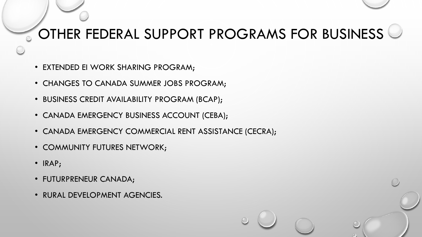## OTHER FEDERAL SUPPORT PROGRAMS FOR BUSINESS

- EXTENDED EI WORK SHARING PROGRAM;
- CHANGES TO CANADA SUMMER JOBS PROGRAM;
- BUSINESS CREDIT AVAILABILITY PROGRAM (BCAP);
- CANADA EMERGENCY BUSINESS ACCOUNT (CEBA);
- CANADA EMERGENCY COMMERCIAL RENT ASSISTANCE (CECRA);
- COMMUNITY FUTURES NETWORK;
- IRAP;
- FUTURPRENEUR CANADA;
- RURAL DEVELOPMENT AGENCIES.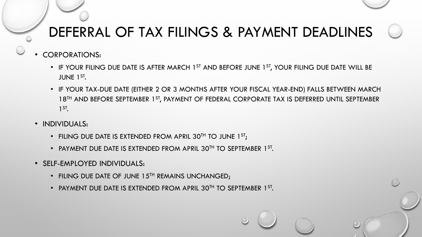# DEFERRAL OF TAX FILINGS & PAYMENT DEADLINES

- CORPORATIONS:
	- IF YOUR FILING DUE DATE IS AFTER MARCH 1<sup>ST</sup> AND BEFORE JUNE 1<sup>ST</sup>, YOUR FILING DUE DATE WILL BE JUNE 1ST.
	- IF YOUR TAX-DUE DATE (EITHER 2 OR 3 MONTHS AFTER YOUR FISCAL YEAR-END) FALLS BETWEEN MARCH 18<sup>TH</sup> AND BEFORE SEPTEMBER 1<sup>ST</sup>, PAYMENT OF FEDERAL CORPORATE TAX IS DEFERRED UNTIL SEPTEMBER 1ST.
- INDIVIDUALS:
	- FILING DUE DATE IS EXTENDED FROM APRIL 30<sup>TH</sup> TO JUNE  $1^{ST}$ ;
	- PAYMENT DUE DATE IS EXTENDED FROM APRIL 30TH TO SEPTEMBER 1ST.
- SELF-EMPLOYED INDIVIDUALS:
	- FILING DUE DATE OF JUNE 15TH REMAINS UNCHANGED;
	- PAYMENT DUE DATE IS EXTENDED FROM APRIL 30TH TO SEPTEMBER 1ST.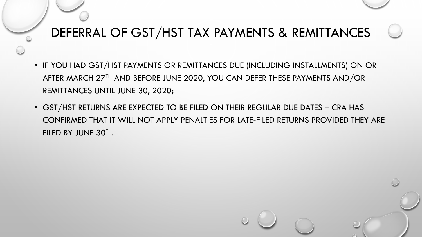#### DEFERRAL OF GST/HST TAX PAYMENTS & REMITTANCES

- IF YOU HAD GST/HST PAYMENTS OR REMITTANCES DUE (INCLUDING INSTALLMENTS) ON OR AFTER MARCH 27<sup>TH</sup> AND BEFORE JUNE 2020, YOU CAN DEFER THESE PAYMENTS AND/OR REMITTANCES UNTIL JUNE 30, 2020;
- GST/HST RETURNS ARE EXPECTED TO BE FILED ON THEIR REGULAR DUE DATES CRA HAS CONFIRMED THAT IT WILL NOT APPLY PENALTIES FOR LATE-FILED RETURNS PROVIDED THEY ARE FILED BY JUNE 30TH.